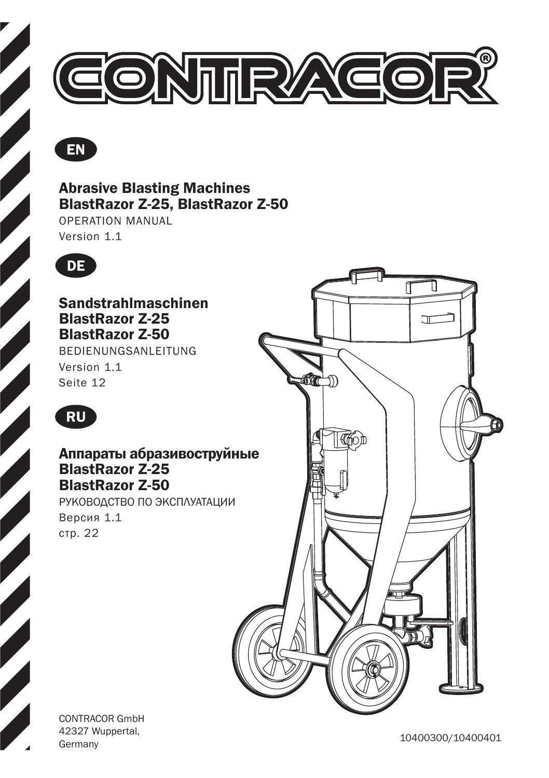



### Abrasive Blasting Machines BlastRazor Z-25, BlastRazor Z-50

OPERATION MANUAL Version 1.1



Sandstrahlmaschinen BlastRazor Z-25 BlastRazor Z-50 BEDIENUNGSANLEITUNG

Version 1.1 Seite 12



### Аппараты абразивоструйные BlastRazor Z-25 BlastRazor Z-50

РУКОВОДСТВО ПО ЭКСПЛУАТАЦИИ Версия 1.1 стр. 22



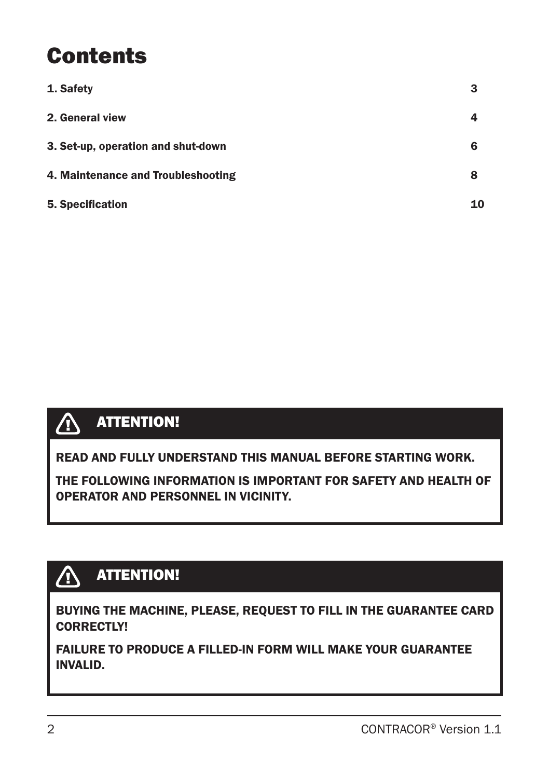## **Contents**

| 1. Safety                          | З  |
|------------------------------------|----|
| 2. General view                    |    |
| 3. Set-up, operation and shut-down | 6  |
| 4. Maintenance and Troubleshooting | 8  |
| 5. Specification                   | 10 |



READ AND FULLY UNDERSTAND THIS MANUAL BEFORE STARTING WORK.

THE FOLLOWING INFORMATION IS IMPORTANT FOR SAFETY AND HEALTH OF OPERATOR AND PERSONNEL IN VICINITY.

### **ATTENTION!**

BUYING THE MACHINE, PLEASE, REQUEST TO FILL IN THE GUARANTEE CARD CORRECTLY!

FAILURE TO PRODUCE A FILLED-IN FORM WILL MAKE YOUR GUARANTEE INVALID.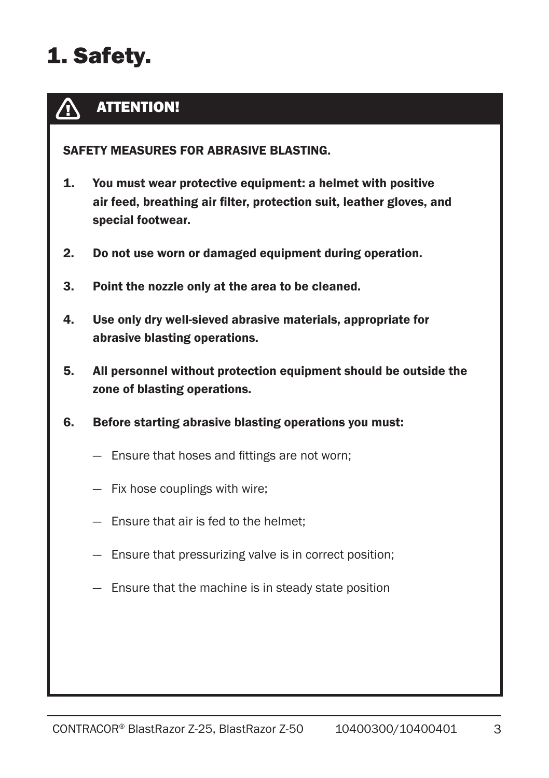# 1. Safety.

#### ATTENTION! Λ

SAFETY MEASURES FOR ABRASIVE BLASTING.

- 1. You must wear protective equipment: a helmet with positive air feed, breathing air filter, protection suit, leather gloves, and special footwear.
- 2. Do not use worn or damaged equipment during operation.
- 3. Point the nozzle only at the area to be cleaned.
- 4. Use only dry well-sieved abrasive materials, appropriate for abrasive blasting operations.
- 5. All personnel without protection equipment should be outside the zone of blasting operations.
- 6. Before starting abrasive blasting operations you must:
	- Ensure that hoses and fittings are not worn;
	- Fix hose couplings with wire;
	- Ensure that air is fed to the helmet;
	- Ensure that pressurizing valve is in correct position;
	- Ensure that the machine is in steady state position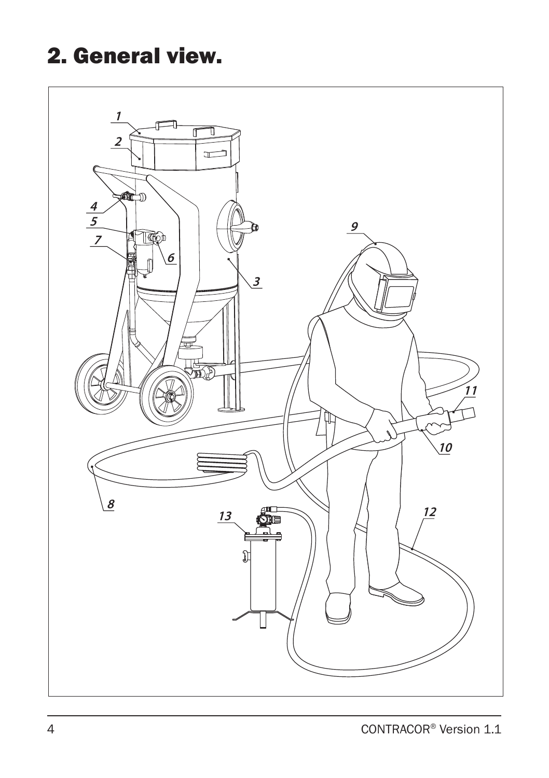## 2. General view.

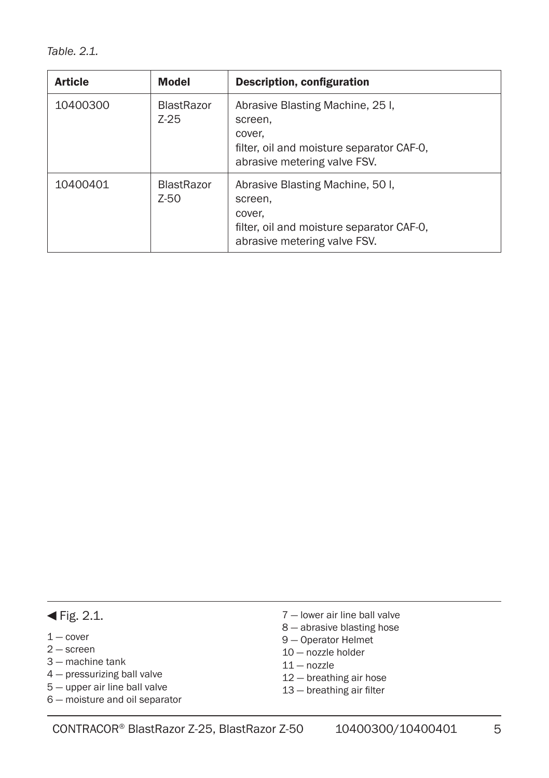*Table. 2.1.*

| <b>Article</b> | <b>Model</b>                | Description, configuration                                                                                                         |
|----------------|-----------------------------|------------------------------------------------------------------------------------------------------------------------------------|
| 10400300       | <b>BlastRazor</b><br>7-25   | Abrasive Blasting Machine, 25 I,<br>screen.<br>cover.<br>filter, oil and moisture separator CAF-0.<br>abrasive metering valve FSV. |
| 10400401       | <b>BlastRazor</b><br>$Z-50$ | Abrasive Blasting Machine, 50 I.<br>screen.<br>cover,<br>filter, oil and moisture separator CAF-0.<br>abrasive metering valve FSV. |

#### $\blacktriangleleft$  Fig. 2.1.

- $1 -$  cover
- 2 screen
- 3 machine tank
- 4 pressurizing ball valve
- 5 upper air line ball valve
- 6 moisture and oil separator
- 7 lower air line ball valve
- 8 abrasive blasting hose
- 9 Operator Helmet
- 10 nozzle holder
- $11 -$  nozzle
- 12 breathing air hose
- 13 breathing air filter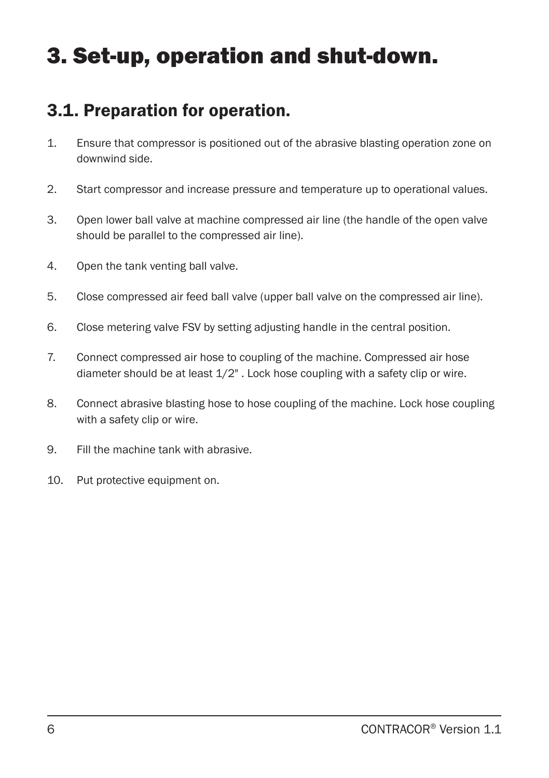## 3. Set-up, operation and shut-down.

### 3.1. Preparation for operation.

- 1. Ensure that compressor is positioned out of the abrasive blasting operation zone on downwind side.
- 2. Start compressor and increase pressure and temperature up to operational values.
- 3. Open lower ball valve at machine compressed air line (the handle of the open valve should be parallel to the compressed air line).
- 4. Open the tank venting ball valve.
- 5. Close compressed air feed ball valve (upper ball valve on the compressed air line).
- 6. Close metering valve FSV by setting adjusting handle in the central position.
- 7. Connect compressed air hose to coupling of the machine. Compressed air hose diameter should be at least 1/2" . Lock hose coupling with a safety clip or wire.
- 8. Connect abrasive blasting hose to hose coupling of the machine. Lock hose coupling with a safety clip or wire.
- 9. Fill the machine tank with abrasive.
- 10. Put protective equipment on.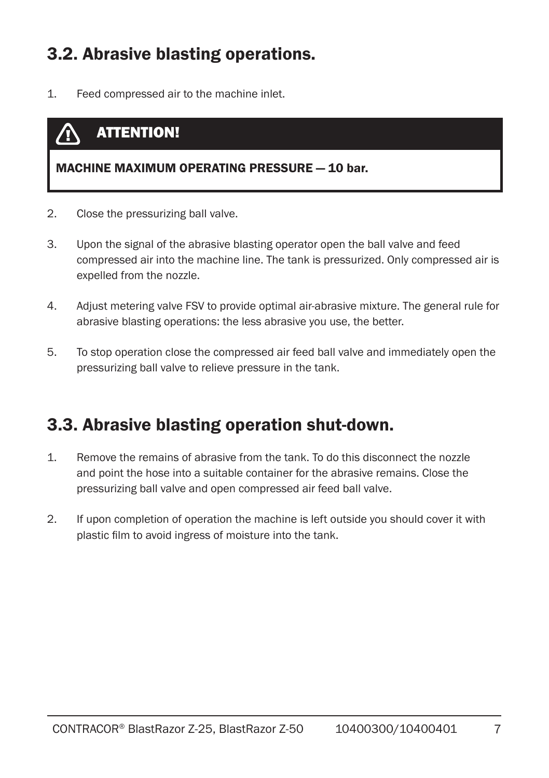### 3.2. Abrasive blasting operations.

1. Feed compressed air to the machine inlet.

### ATTENTION!

#### MACHINE MAXIMUM OPERATING PRESSURE — 10 bar.

- 2. Close the pressurizing ball valve.
- 3. Upon the signal of the abrasive blasting operator open the ball valve and feed compressed air into the machine line. The tank is pressurized. Only compressed air is expelled from the nozzle.
- 4. Adjust metering valve FSV to provide optimal air-abrasive mixture. The general rule for abrasive blasting operations: the less abrasive you use, the better.
- 5. To stop operation close the compressed air feed ball valve and immediately open the pressurizing ball valve to relieve pressure in the tank.

### 3.3. Abrasive blasting operation shut-down.

- 1. Remove the remains of abrasive from the tank. To do this disconnect the nozzle and point the hose into a suitable container for the abrasive remains. Close the pressurizing ball valve and open compressed air feed ball valve.
- 2. If upon completion of operation the machine is left outside you should cover it with plastic film to avoid ingress of moisture into the tank.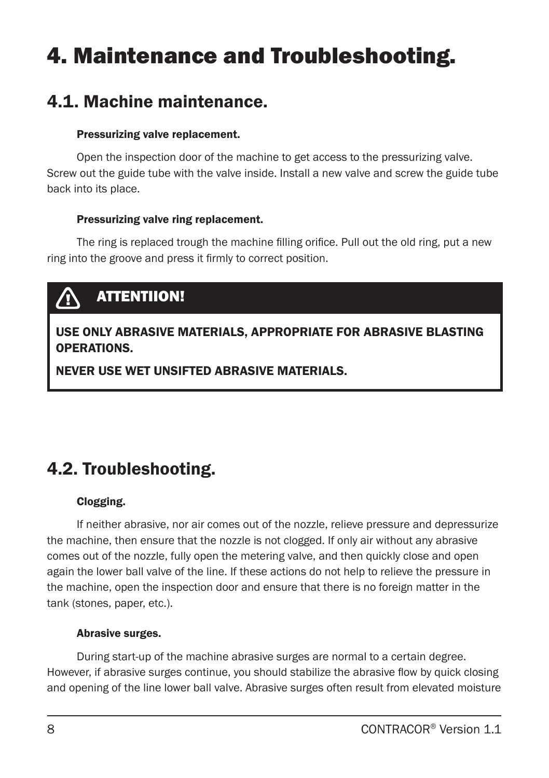## 4. Maintenance and Troubleshooting.

### 4.1. Machine maintenance.

#### Pressurizing valve replacement.

Open the inspection door of the machine to get access to the pressurizing valve. Screw out the guide tube with the valve inside. Install a new valve and screw the guide tube back into its place.

#### Pressurizing valve ring replacement.

The ring is replaced trough the machine filling orifice. Pull out the old ring, put a new ring into the groove and press it firmly to correct position.

## ATTENTIION!

### USE ONLY ABRASIVE MATERIALS, APPROPRIATE FOR ABRASIVE BLASTING OPERATIONS.

NEVER USE WET UNSIFTED ABRASIVE MATERIALS.

### 4.2. Troubleshooting.

#### Clogging.

If neither abrasive, nor air comes out of the nozzle, relieve pressure and depressurize the machine, then ensure that the nozzle is not clogged. If only air without any abrasive comes out of the nozzle, fully open the metering valve, and then quickly close and open again the lower ball valve of the line. If these actions do not help to relieve the pressure in the machine, open the inspection door and ensure that there is no foreign matter in the tank (stones, paper, etc.).

#### Abrasive surges.

During start-up of the machine abrasive surges are normal to a certain degree. However, if abrasive surges continue, you should stabilize the abrasive flow by quick closing and opening of the line lower ball valve. Abrasive surges often result from elevated moisture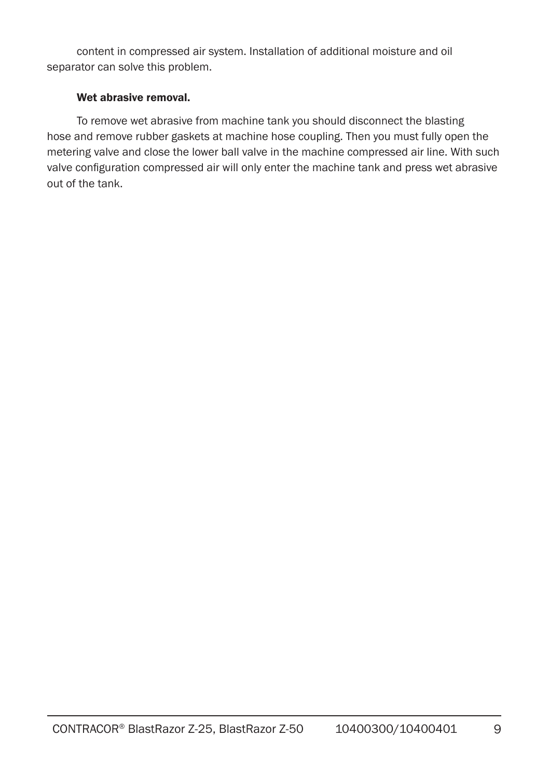content in compressed air system. Installation of additional moisture and oil separator can solve this problem.

#### Wet abrasive removal.

To remove wet abrasive from machine tank you should disconnect the blasting hose and remove rubber gaskets at machine hose coupling. Then you must fully open the metering valve and close the lower ball valve in the machine compressed air line. With such valve configuration compressed air will only enter the machine tank and press wet abrasive out of the tank.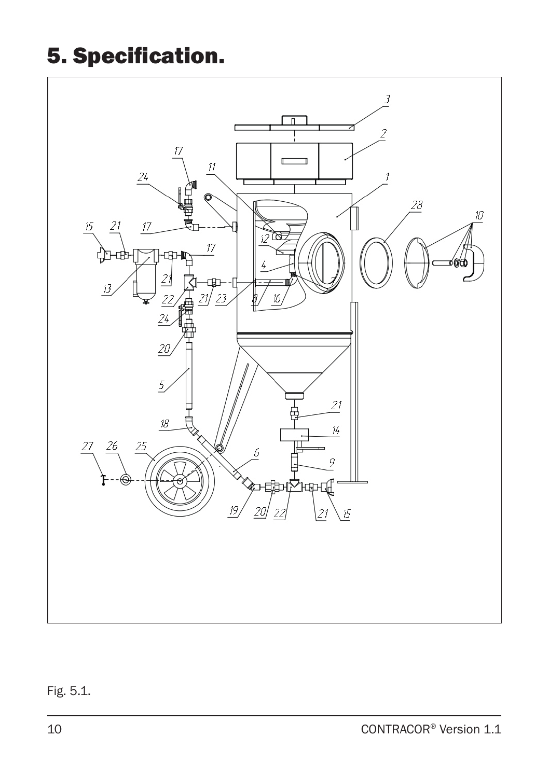# 5. Specification.



### Fig. 5.1.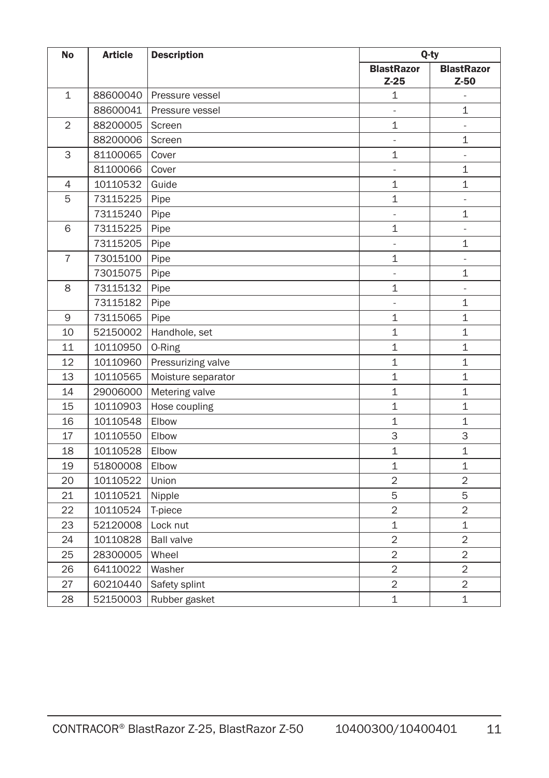| <b>No</b>      | <b>Article</b> | <b>Description</b> | Q-ty                        |                             |
|----------------|----------------|--------------------|-----------------------------|-----------------------------|
|                |                |                    | <b>BlastRazor</b><br>$Z-25$ | <b>BlastRazor</b><br>$Z-50$ |
| $\mathbf{1}$   | 88600040       | Pressure vessel    | $\mathbf 1$                 | $\frac{1}{2}$               |
|                | 88600041       | Pressure vessel    | $\overline{a}$              | $\mathbf{1}$                |
| $\overline{2}$ | 88200005       | Screen             | $\mathbf{1}$                | $\bar{\phantom{a}}$         |
|                | 88200006       | Screen             | $\overline{\phantom{a}}$    | $\mathbf{1}$                |
| 3              | 81100065       | Cover              | $\mathbf{1}$                | $\blacksquare$              |
|                | 81100066       | Cover              | $\blacksquare$              | 1                           |
| 4              | 10110532       | Guide              | 1                           | $\mathbf 1$                 |
| 5              | 73115225       | Pipe               | $\mathbf{1}$                | $\blacksquare$              |
|                | 73115240       | Pipe               | ÷                           | $\mathbf 1$                 |
| 6              | 73115225       | Pipe               | 1                           | ÷,                          |
|                | 73115205       | Pipe               | $\frac{1}{2}$               | $\mathbf{1}$                |
| $\overline{7}$ | 73015100       | Pipe               | 1                           | Ξ                           |
|                | 73015075       | Pipe               | L.                          | $\mathbf 1$                 |
| 8              | 73115132       | Pipe               | $\mathbf{1}$                |                             |
|                | 73115182       | Pipe               | $\frac{1}{2}$               | $\mathbf 1$                 |
| 9              | 73115065       | Pipe               | $\mathbf{1}$                | $\mathbf{1}$                |
| 10             | 52150002       | Handhole, set      | $\mathbf{1}$                | $\mathbf{1}$                |
| 11             | 10110950       | 0-Ring             | $\mathbf{1}$                | $\mathbf{1}$                |
| 12             | 10110960       | Pressurizing valve | $\mathbf{1}$                | $\mathbf{1}$                |
| 13             | 10110565       | Moisture separator | $\mathbf{1}$                | $\mathbf{1}$                |
| 14             | 29006000       | Metering valve     | $\mathbf{1}$                | $\mathbf{1}$                |
| 15             | 10110903       | Hose coupling      | $\mathbf{1}$                | $\mathbf{1}$                |
| 16             | 10110548       | Elbow              | $\mathbf{1}$                | $\mathbf{1}$                |
| 17             | 10110550       | Elbow              | 3                           | 3                           |
| 18             | 10110528       | Elbow              | $\mathbf{1}$                | $\mathbf{1}$                |
| 19             | 51800008       | Elbow              | $\mathbf{1}$                | $\mathbf{1}$                |
| 20             | 10110522       | Union              | $\overline{c}$              | $\overline{2}$              |
| 21             | 10110521       | Nipple             | 5                           | 5                           |
| 22             | 10110524       | T-piece            | $\overline{c}$              | $\overline{2}$              |
| 23             | 52120008       | Lock nut           | $\mathbf{1}$                | $\mathbf{1}$                |
| 24             | 10110828       | <b>Ball valve</b>  | $\overline{2}$              | $\overline{2}$              |
| 25             | 28300005       | Wheel              | $\overline{c}$              | $\overline{2}$              |
| 26             | 64110022       | Washer             | $\overline{c}$              | $\overline{c}$              |
| 27             | 60210440       | Safety splint      | $\overline{2}$              | $\overline{2}$              |
| 28             | 52150003       | Rubber gasket      | $\mathbf{1}$                | $\mathbf{1}$                |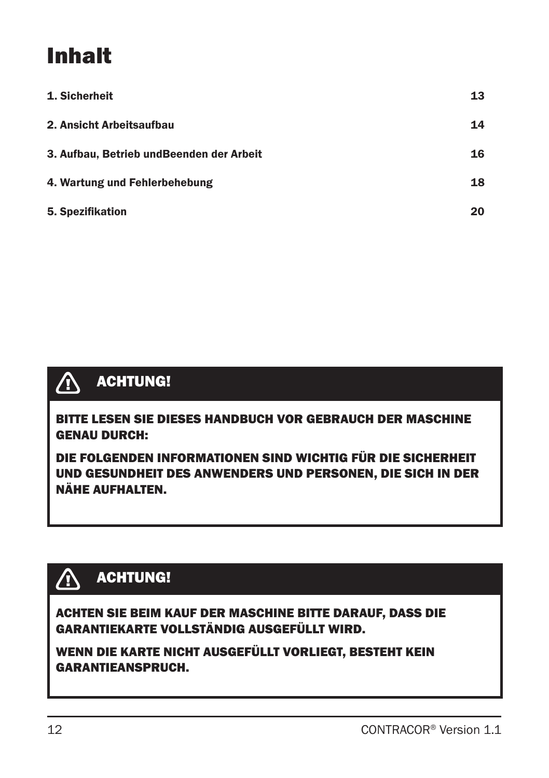# Inhalt

| 1. Sicherheit                             | 13 |
|-------------------------------------------|----|
| 2. Ansicht Arbeitsaufbau                  | 14 |
| 3. Aufbau, Betrieb und Beenden der Arbeit | 16 |
| 4. Wartung und Fehlerbehebung             | 18 |
| 5. Spezifikation                          | 20 |



## ACHTUNG!

BITTE LESEN SIE DIESES HANDBUCH VOR GEBRAUCH DER MASCHINE GENAU DURCH:

DIE FOLGENDEN INFORMATIONEN SIND WICHTIG FÜR DIE SICHERHEIT UND GESUNDHEIT DES ANWENDERS UND PERSONEN, DIE SICH IN DER NÄHE AUFHALTEN.

## ACHTUNG!

ACHTEN SIE BEIM KAUF DER MASCHINE BITTE DARAUF, DASS DIE GARANTIEKARTE VOLLSTÄNDIG AUSGEFÜLLT WIRD.

WENN DIE KARTE NICHT AUSGEFÜLLT VORLIEGT, BESTEHT KEIN GARANTIEANSPRUCH.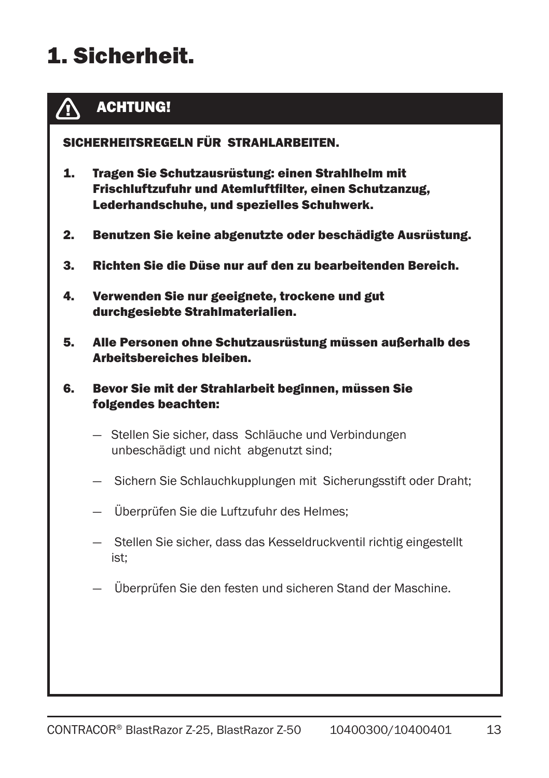# 1. Sicherheit.



### ACHTUNG!

SICHERHEITSREGELN FÜR STRAHLARBEITEN.

- 1. Tragen Sie Schutzausrüstung: einen Strahlhelm mit Frischluftzufuhr und Atemluftfilter, einen Schutzanzug, Lederhandschuhe, und spezielles Schuhwerk.
- 2. Benutzen Sie keine abgenutzte oder beschädigte Ausrüstung.
- 3. Richten Sie die Düse nur auf den zu bearbeitenden Bereich.
- 4. Verwenden Sie nur geeignete, trockene und gut durchgesiebte Strahlmaterialien.
- 5. Alle Personen ohne Schutzausrüstung müssen außerhalb des Arbeitsbereiches bleiben.
- 6. Bevor Sie mit der Strahlarbeit beginnen, müssen Sie folgendes beachten:
	- Stellen Sie sicher, dass Schläuche und Verbindungen unbeschädigt und nicht abgenutzt sind;
	- Sichern Sie Schlauchkupplungen mit Sicherungsstift oder Draht;
	- Überprüfen Sie die Luftzufuhr des Helmes;
	- Stellen Sie sicher, dass das Kesseldruckventil richtig eingestellt ist;
	- Überprüfen Sie den festen und sicheren Stand der Maschine.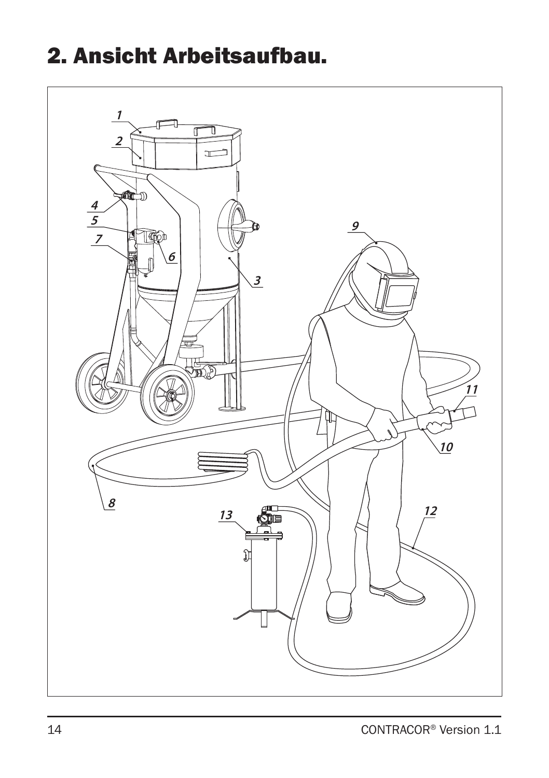## 2. Ansicht Arbeitsaufbau.

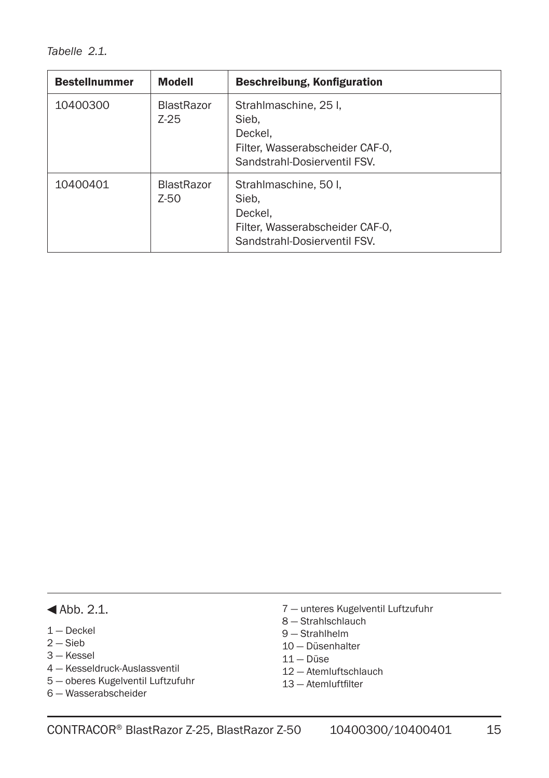*Tabelle 2.1.* 

| <b>Bestellnummer</b> | <b>Modell</b>               | Beschreibung, Konfiguration                                                                                  |
|----------------------|-----------------------------|--------------------------------------------------------------------------------------------------------------|
| 10400300             | <b>BlastRazor</b><br>$Z-25$ | Strahlmaschine, 25 I.<br>Sieb.<br>Deckel.<br>Filter. Wasserabscheider CAF-0.<br>Sandstrahl-Dosierventil FSV. |
| 10400401             | <b>BlastRazor</b><br>$Z-50$ | Strahlmaschine, 50 l.<br>Sieb.<br>Deckel.<br>Filter, Wasserabscheider CAF-0,<br>Sandstrahl-Dosierventil FSV. |

#### $\blacktriangleleft$ Abb. 2.1.

- 1 Deckel
- $2 -$ Sieb
- 3 Kessel
- 4 Kesseldruck-Auslassventil
- 5 oberes Kugelventil Luftzufuhr
- 6 Wasserabscheider
- 7 unteres Kugelventil Luftzufuhr
- 8 Strahlschlauch
- 9 Strahlhelm
- 10 Düsenhalter
- 11 Düse
- 12 Atemluftschlauch
- 13 Atemluftfilter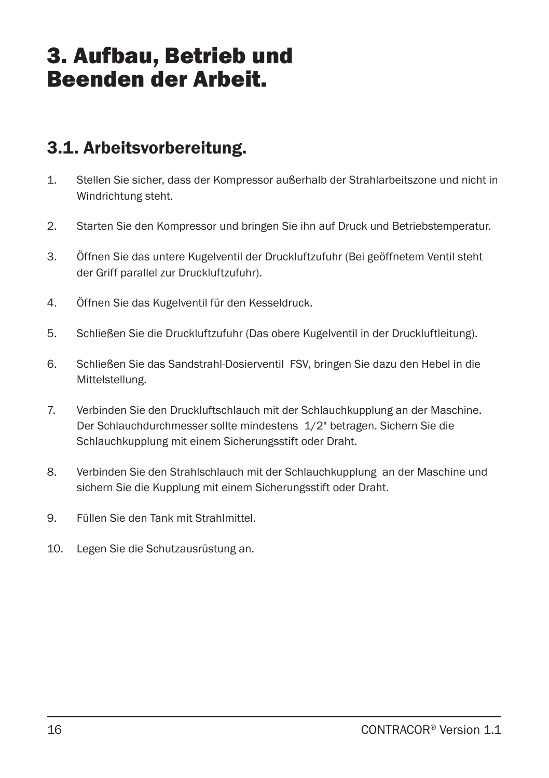## 3. Aufbau, Betrieb und Beenden der Arbeit.

### 3.1. Arbeitsvorbereitung.

- 1. Stellen Sie sicher, dass der Kompressor außerhalb der Strahlarbeitszone und nicht in Windrichtung steht.
- 2. Starten Sie den Kompressor und bringen Sie ihn auf Druck und Betriebstemperatur.
- 3. Öffnen Sie das untere Kugelventil der Druckluftzufuhr (Bei geöffnetem Ventil steht der Griff parallel zur Druckluftzufuhr).
- 4. Öffnen Sie das Kugelventil für den Kesseldruck.
- 5. Schließen Sie die Druckluftzufuhr (Das obere Kugelventil in der Druckluftleitung).
- 6. Schließen Sie das Sandstrahl-Dosierventil FSV, bringen Sie dazu den Hebel in die Mittelstellung.
- 7. Verbinden Sie den Druckluftschlauch mit der Schlauchkupplung an der Maschine. Der Schlauchdurchmesser sollte mindestens 1/2" betragen. Sichern Sie die Schlauchkupplung mit einem Sicherungsstift oder Draht.
- 8. Verbinden Sie den Strahlschlauch mit der Schlauchkupplung an der Maschine und sichern Sie die Kupplung mit einem Sicherungsstift oder Draht.
- 9. Füllen Sie den Tank mit Strahlmittel.
- 10. Legen Sie die Schutzausrüstung an.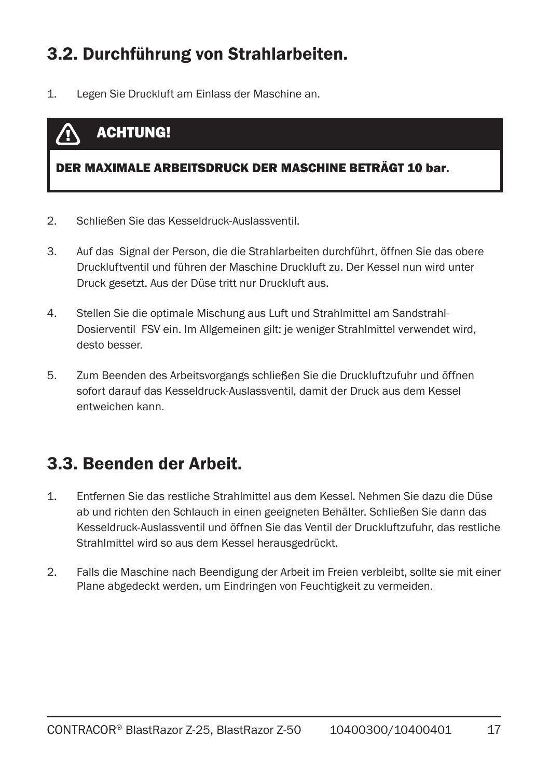### 3.2. Durchführung von Strahlarbeiten.

1. Legen Sie Druckluft am Einlass der Maschine an.

#### ACHTUNG! **/T**

#### DER MAXIMALE ARBEITSDRUCK DER MASCHINE BETRÄGT 10 bar.

- 2. Schließen Sie das Kesseldruck-Auslassventil.
- 3. Auf das Signal der Person, die die Strahlarbeiten durchführt, öffnen Sie das obere Druckluftventil und führen der Maschine Druckluft zu. Der Kessel nun wird unter Druck gesetzt. Aus der Düse tritt nur Druckluft aus.
- 4. Stellen Sie die optimale Mischung aus Luft und Strahlmittel am Sandstrahl-Dosierventil FSV ein. Im Allgemeinen gilt: je weniger Strahlmittel verwendet wird, desto besser.
- 5. Zum Beenden des Arbeitsvorgangs schließen Sie die Druckluftzufuhr und öffnen sofort darauf das Kesseldruck-Auslassventil, damit der Druck aus dem Kessel entweichen kann.

### 3.3. Beenden der Arbeit.

- 1. Entfernen Sie das restliche Strahlmittel aus dem Kessel. Nehmen Sie dazu die Düse ab und richten den Schlauch in einen geeigneten Behälter. Schließen Sie dann das Kesseldruck-Auslassventil und öffnen Sie das Ventil der Druckluftzufuhr, das restliche Strahlmittel wird so aus dem Kessel herausgedrückt.
- 2. Falls die Maschine nach Beendigung der Arbeit im Freien verbleibt, sollte sie mit einer Plane abgedeckt werden, um Eindringen von Feuchtigkeit zu vermeiden.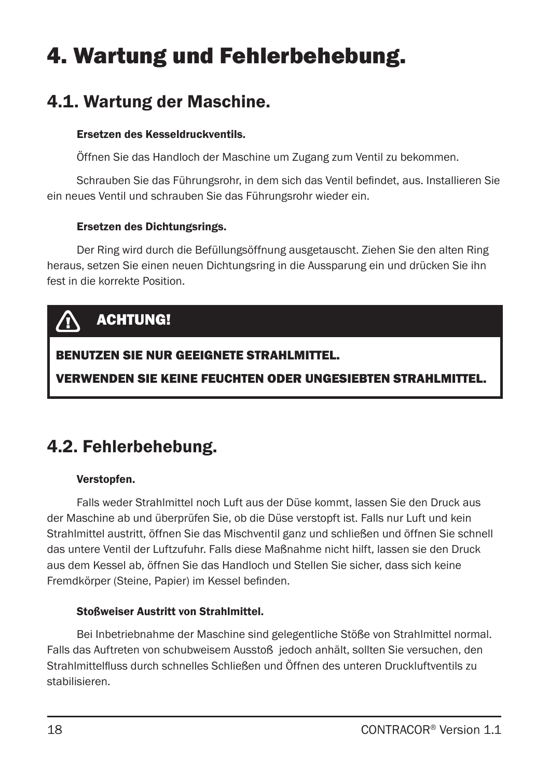# 4. Wartung und Fehlerbehebung.

### 4.1. Wartung der Maschine.

#### Ersetzen des Kesseldruckventils.

Öffnen Sie das Handloch der Maschine um Zugang zum Ventil zu bekommen.

Schrauben Sie das Führungsrohr, in dem sich das Ventil befindet, aus. Installieren Sie ein neues Ventil und schrauben Sie das Führungsrohr wieder ein.

#### Ersetzen des Dichtungsrings.

Der Ring wird durch die Befüllungsöffnung ausgetauscht. Ziehen Sie den alten Ring heraus, setzen Sie einen neuen Dichtungsring in die Aussparung ein und drücken Sie ihn fest in die korrekte Position.

## ACHTUNG!

### BENUTZEN SIE NUR GEEIGNETE STRAHLMITTEL.

VERWENDEN SIE KEINE FEUCHTEN ODER UNGESIEBTEN STRAHLMITTEL.

### 4.2. Fehlerbehebung.

#### Verstopfen.

Falls weder Strahlmittel noch Luft aus der Düse kommt, lassen Sie den Druck aus der Maschine ab und überprüfen Sie, ob die Düse verstopft ist. Falls nur Luft und kein Strahlmittel austritt, öffnen Sie das Mischventil ganz und schließen und öffnen Sie schnell das untere Ventil der Luftzufuhr. Falls diese Maßnahme nicht hilft, lassen sie den Druck aus dem Kessel ab, öffnen Sie das Handloch und Stellen Sie sicher, dass sich keine Fremdkörper (Steine, Papier) im Kessel befinden.

#### Stoßweiser Austritt von Strahlmittel.

Bei Inbetriebnahme der Maschine sind gelegentliche Stöße von Strahlmittel normal. Falls das Auftreten von schubweisem Ausstoß jedoch anhält, sollten Sie versuchen, den Strahlmittelfluss durch schnelles Schließen und Öffnen des unteren Druckluftventils zu stabilisieren.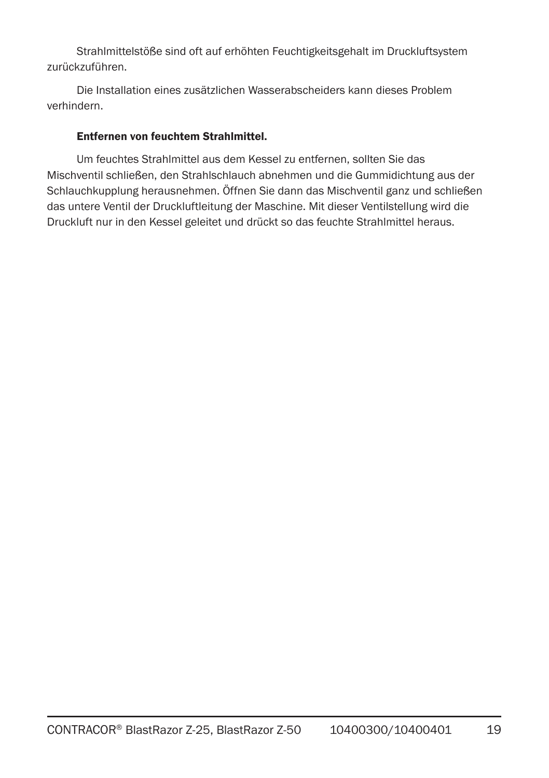Strahlmittelstöße sind oft auf erhöhten Feuchtigkeitsgehalt im Druckluftsystem zurückzuführen.

Die Installation eines zusätzlichen Wasserabscheiders kann dieses Problem verhindern.

#### Entfernen von feuchtem Strahlmittel.

Um feuchtes Strahlmittel aus dem Kessel zu entfernen, sollten Sie das Mischventil schließen, den Strahlschlauch abnehmen und die Gummidichtung aus der Schlauchkupplung herausnehmen. Öffnen Sie dann das Mischventil ganz und schließen das untere Ventil der Druckluftleitung der Maschine. Mit dieser Ventilstellung wird die Druckluft nur in den Kessel geleitet und drückt so das feuchte Strahlmittel heraus.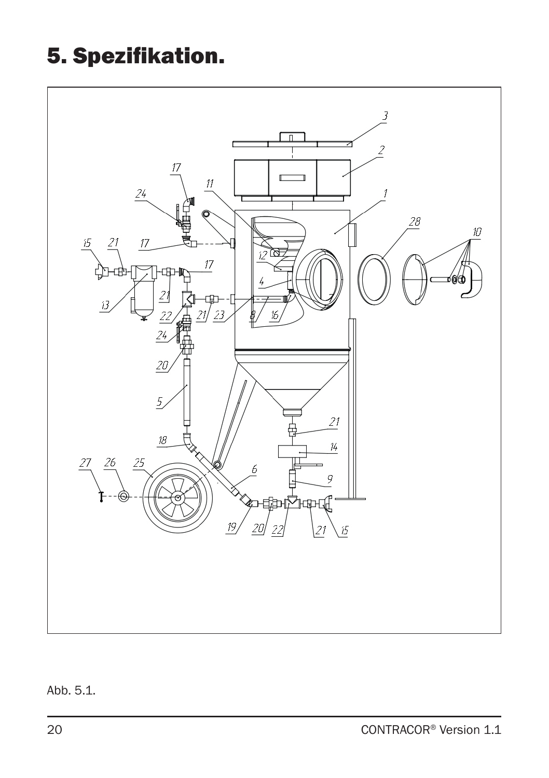## 5. Spezifikation.



### Abb. 5.1.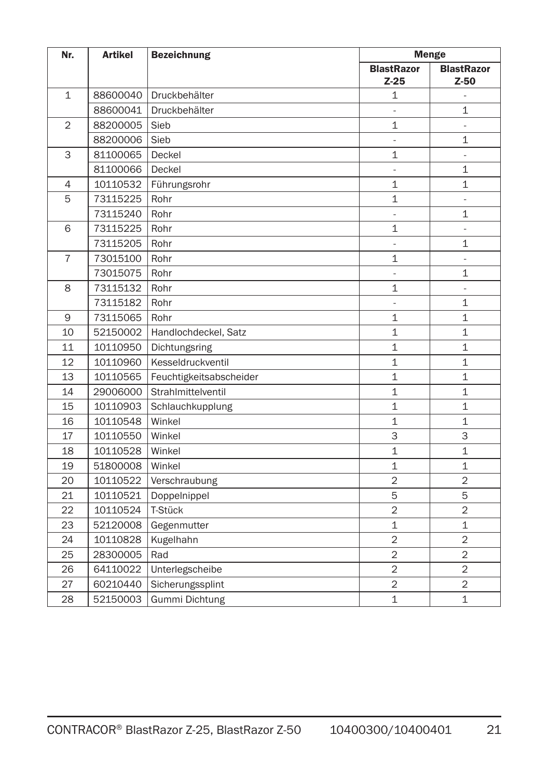| Nr.            | <b>Artikel</b> | <b>Bezeichnung</b>      | <b>Menge</b>             |                   |
|----------------|----------------|-------------------------|--------------------------|-------------------|
|                |                |                         | <b>BlastRazor</b>        | <b>BlastRazor</b> |
|                |                |                         | $Z-25$                   | $Z-50$            |
| $\mathbf{1}$   | 88600040       | Druckbehälter           | 1                        | $\frac{1}{2}$     |
|                | 88600041       | Druckbehälter           | ÷,                       | $\mathbf{1}$      |
| $\overline{2}$ | 88200005       | Sieb                    | $\mathbf{1}$             | ä,                |
|                | 88200006       | Sieb                    | $\frac{1}{2}$            | $\mathbf{1}$      |
| 3              | 81100065       | Deckel                  | $\mathbf{1}$             | ä,                |
|                | 81100066       | Deckel                  | $\overline{\phantom{a}}$ | $\mathbf{1}$      |
| $\overline{4}$ | 10110532       | Führungsrohr            | 1                        | 1                 |
| 5              | 73115225       | Rohr                    | $\mathbf{1}$             | $\frac{1}{2}$     |
|                | 73115240       | Rohr                    | $\frac{1}{2}$            | $\mathbf{1}$      |
| 6              | 73115225       | Rohr                    | 1                        | $\frac{1}{2}$     |
|                | 73115205       | Rohr                    | L,                       | $\mathbf{1}$      |
| $\overline{7}$ | 73015100       | Rohr                    | $\mathbf{1}$             | ÷,                |
|                | 73015075       | Rohr                    |                          | $\mathbf{1}$      |
| 8              | 73115132       | Rohr                    | $\mathbf{1}$             | L.                |
|                | 73115182       | Rohr                    |                          | $\mathbf{1}$      |
| 9              | 73115065       | Rohr                    | $\mathbf 1$              | 1                 |
| 10             | 52150002       | Handlochdeckel, Satz    | $\mathbf{1}$             | $\mathbf{1}$      |
| 11             | 10110950       | Dichtungsring           | $\mathbf{1}$             | $\mathbf{1}$      |
| 12             | 10110960       | Kesseldruckventil       | $\mathbf{1}$             | $\mathbf{1}$      |
| 13             | 10110565       | Feuchtigkeitsabscheider | $\mathbf{1}$             | $\mathbf{1}$      |
| 14             | 29006000       | Strahlmittelventil      | $\mathbf{1}$             | $\mathbf{1}$      |
| 15             | 10110903       | Schlauchkupplung        | $\mathbf{1}$             | $\mathbf{1}$      |
| 16             | 10110548       | Winkel                  | $\mathbf{1}$             | $\mathbf{1}$      |
| 17             | 10110550       | Winkel                  | 3                        | 3                 |
| 18             | 10110528       | Winkel                  | $\mathbf{1}$             | $\mathbf{1}$      |
| 19             | 51800008       | Winkel                  | $\mathbf{1}$             | $\mathbf{1}$      |
| 20             | 10110522       | Verschraubung           | $\overline{2}$           | $\overline{2}$    |
| 21             | 10110521       | Doppelnippel            | 5                        | 5                 |
| 22             | 10110524       | T-Stück                 | $\overline{2}$           | $\overline{2}$    |
| 23             | 52120008       | Gegenmutter             | $\mathbf{1}$             | $\mathbf{1}$      |
| 24             | 10110828       | Kugelhahn               | $\overline{2}$           | $\overline{2}$    |
| 25             | 28300005       | Rad                     | $\overline{2}$           | $\overline{2}$    |
| 26             | 64110022       | Unterlegscheibe         | $\overline{c}$           | $\overline{2}$    |
| 27             | 60210440       | Sicherungssplint        | $\overline{2}$           | $\overline{2}$    |
| 28             | 52150003       | Gummi Dichtung          | $\mathbf{1}$             | $\mathbf{1}$      |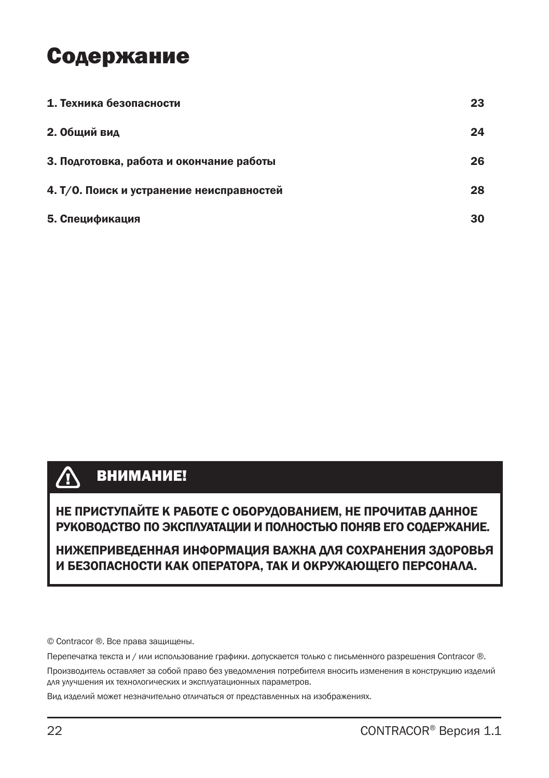## Содержание

| 1. Техника безопасности                   | 23 |
|-------------------------------------------|----|
| 2. Общий вид                              | 24 |
| 3. Подготовка, работа и окончание работы  | 26 |
| 4. Т/О. Поиск и устранение неисправностей | 28 |
| 5. Спецификация                           | 30 |

#### $\bigwedge$ ВНИМАНИЕ!

НЕ ПРИСТУПАЙТЕ К РАБОТЕ С ОБОРУДОВАНИЕМ, НЕ ПРОЧИТАВ ДАННОЕ РУКОВОДСТВО ПО ЭКСПЛУАТАЦИИ И ПОЛНОСТЬЮ ПОНЯВ ЕГО СОДЕРЖАНИЕ.

НИЖЕПРИВЕДЕННАЯ ИНФОРМАЦИЯ ВАЖНА ДЛЯ СОХРАНЕНИЯ ЗДОРОВЬЯ И БЕЗОПАСНОСТИ КАК ОПЕРАТОРА, ТАК И ОКРУЖАЮЩЕГО ПЕРСОНАЛА.

© Contracor ®. Все права защищены.

Перепечатка текста и / или использование графики. допускается только с письменного разрешения Contracor ®.

Производитель оставляет за собой право без уведомления потребителя вносить изменения в конструкцию изделий для улучшения их технологических и эксплуатационных параметров.

Вид изделий может незначительно отличаться от представленных на изображениях.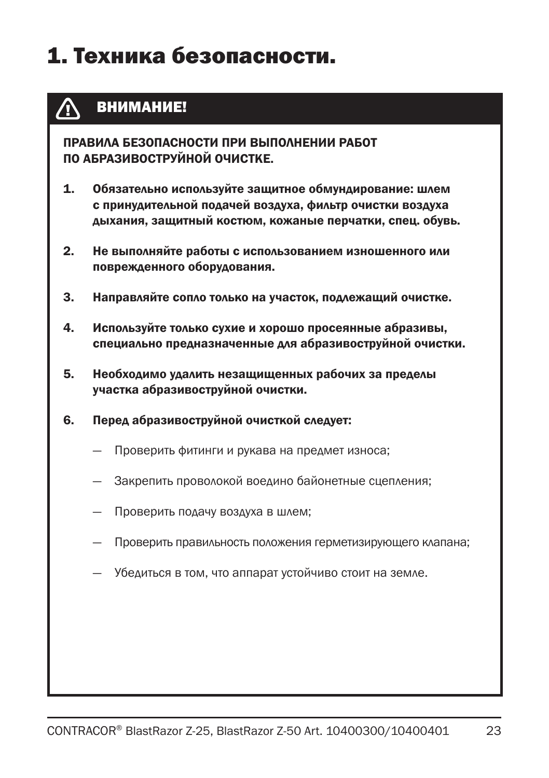## 1. Техника безопасности.

#### ВНИМАНИЕ! /N

ПРАВИЛА БЕЗОПАСНОСТИ ПРИ ВЫПОЛНЕНИИ РАБОТ ПО АБРАЗИВОСТРУЙНОЙ ОЧИСТКЕ.

- 1. Обязательно используйте защитное обмундирование: шлем с принудительной подачей воздуха, фильтр очистки воздуха дыхания, защитный костюм, кожаные перчатки, спец. обувь.
- 2. Не выполняйте работы с использованием изношенного или поврежденного оборудования.
- 3. Направляйте сопло только на участок, подлежащий очистке.
- 4. Используйте только сухие и хорошо просеянные абразивы, специально предназначенные для абразивоструйной очистки.
- 5. Необходимо удалить незащищенных рабочих за пределы участка абразивоструйной очистки.
- 6. Перед абразивоструйной очисткой следует:
	- Проверить фитинги и рукава на предмет износа;
	- Закрепить проволокой воедино байонетные сцепления;
	- Проверить подачу воздуха в шлем;
	- Проверить правильность положения герметизирующего клапана;
	- Убедиться в том, что аппарат устойчиво стоит на земле.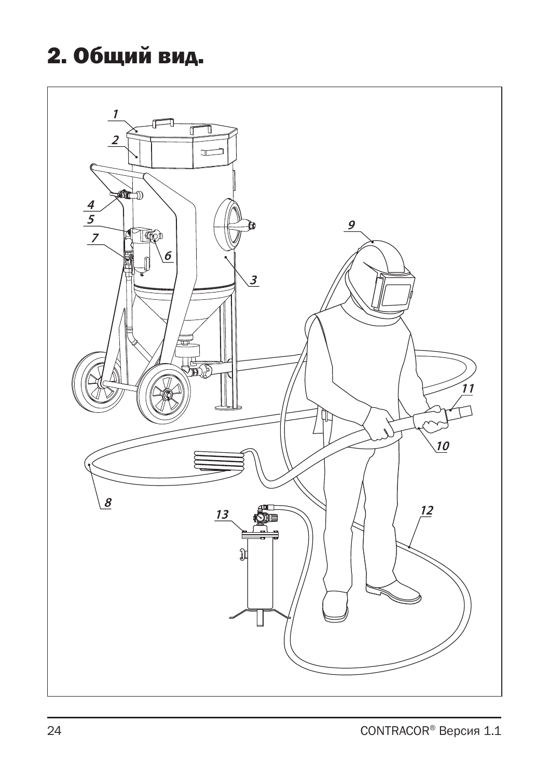# 2. Общий вид.

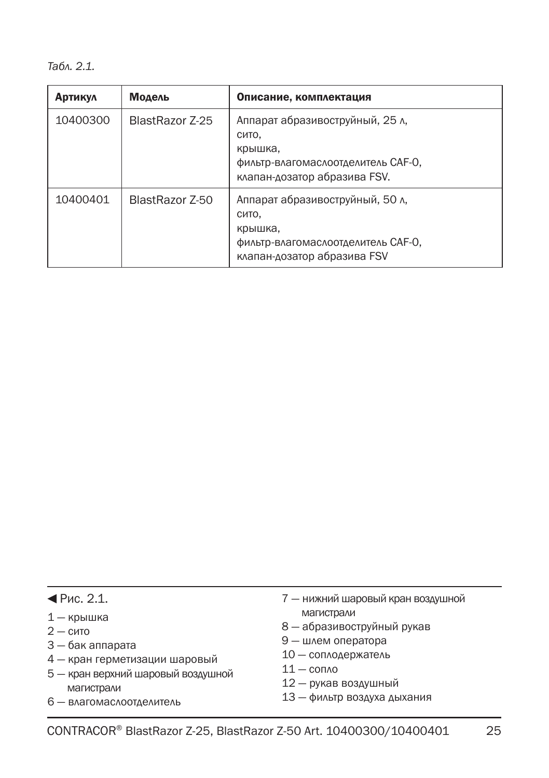*Табл. 2.1.*

| <b>Артикул</b> | Модель          | Описание, комплектация                                                                                                    |
|----------------|-----------------|---------------------------------------------------------------------------------------------------------------------------|
| 10400300       | BlastRazor 7-25 | Аппарат абразивоструйный, 25 л,<br>сито.<br>крышка,<br>фильтр-влагомаслоотделитель САГ-О,<br>клапан-дозатор абразива FSV. |
| 10400401       | BlastRazor Z-50 | Аппарат абразивоструйный, 50 л.<br>сито.<br>крышка,<br>фильтр-влагомаслоотделитель САГ-О,<br>клапан-дозатор абразива FSV  |

- $\P$ Рис. 2.1.
- 1 крышка
- $2 -$  сито
- 3 бак аппарата
- 4 кран герметизации шаровый
- 5 кран верхний шаровый воздушной магистрали
- 6 влагомаслоотделитель
- 7 нижний шаровый кран воздушной магистрали
- 8 абразивоструйный рукав
- 9 шлем оператора
- 10 соплодержатель
- $11 -$  сопло
- 12 рукав воздушный
- 13 фильтр воздуха дыхания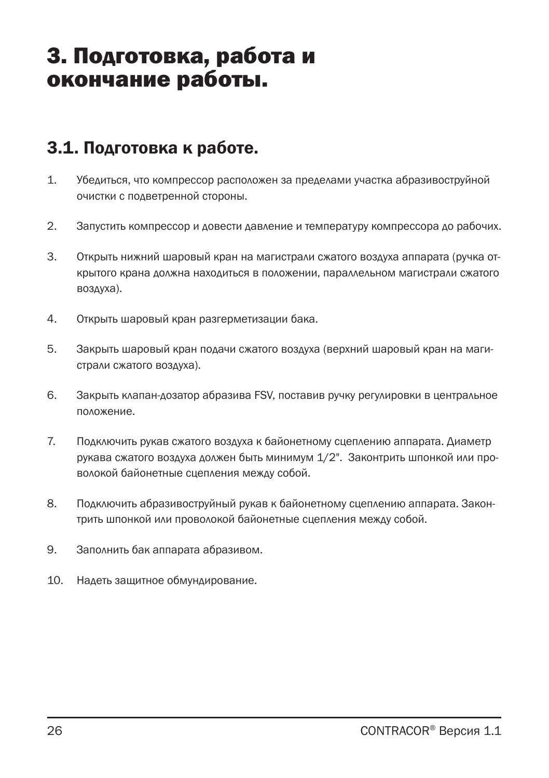## 3. Подготовка, работа и окончание работы.

### 3.1. Подготовка к работе.

- 1. Убедиться, что компрессор расположен за пределами участка абразивоструйной очистки с подветренной стороны.
- 2. Запустить компрессор и довести давление и температуру компрессора до рабочих.
- 3. Открыть нижний шаровый кран на магистрали сжатого воздуха аппарата (ручка открытого крана должна находиться в положении, параллельном магистрали сжатого воздуха).
- 4. Открыть шаровый кран разгерметизации бака.
- 5. Закрыть шаровый кран подачи сжатого воздуха (верхний шаровый кран на магистрали сжатого воздуха).
- 6. Закрыть клапан-дозатор абразива FSV, поставив ручку регулировки в центральное положение.
- 7. Подключить рукав сжатого воздуха к байонетному сцеплению аппарата. Диаметр рукава сжатого воздуха должен быть минимум 1/2". Законтрить шпонкой или проволокой байонетные сцепления между собой.
- 8. Подключить абразивоструйный рукав к байонетному сцеплению аппарата. Законтрить шпонкой или проволокой байонетные сцепления между собой.
- 9. Заполнить бак аппарата абразивом.
- 10. Надеть защитное обмундирование.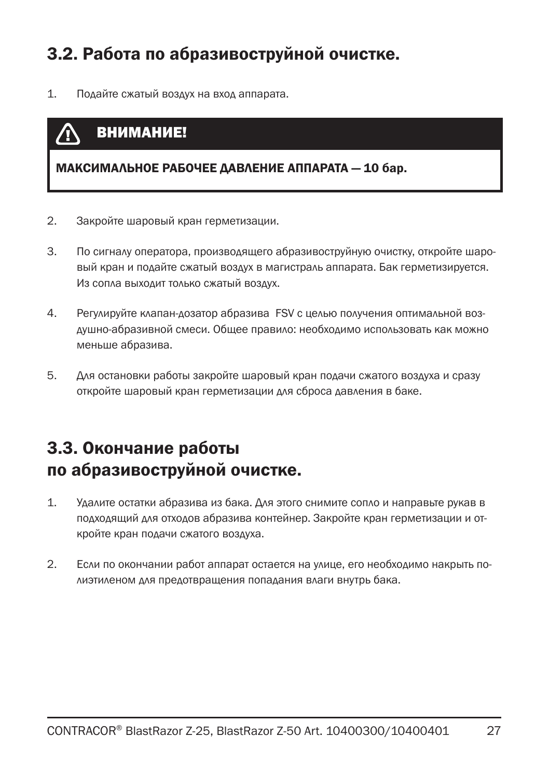### 3.2. Работа по абразивоструйной очистке.

1. Подайте сжатый воздух на вход аппарата.

### ВНИМАНИЕ!

МАКСИМАЛЬНОЕ РАБОЧЕЕ ДАВЛЕНИЕ АППАРАТА — 10 бар.

- 2. Закройте шаровый кран герметизации.
- 3. По сигналу оператора, производящего абразивоструйную очистку, откройте шаровый кран и подайте сжатый воздух в магистраль аппарата. Бак герметизируется. Из сопла выходит только сжатый воздух.
- 4. Регулируйте клапан-дозатор абразива FSV с целью получения оптимальной воздушно-абразивной смеси. Общее правило: необходимо использовать как можно меньше абразива.
- 5. Для остановки работы закройте шаровый кран подачи сжатого воздуха и сразу откройте шаровый кран герметизации для сброса давления в баке.

### 3.3. Окончание работы по абразивоструйной очистке.

- 1. Удалите остатки абразива из бака. Для этого снимите сопло и направьте рукав в подходящий для отходов абразива контейнер. Закройте кран герметизации и откройте кран подачи сжатого воздуха.
- 2. Если по окончании работ аппарат остается на улице, его необходимо накрыть полиэтиленом для предотвращения попадания влаги внутрь бака.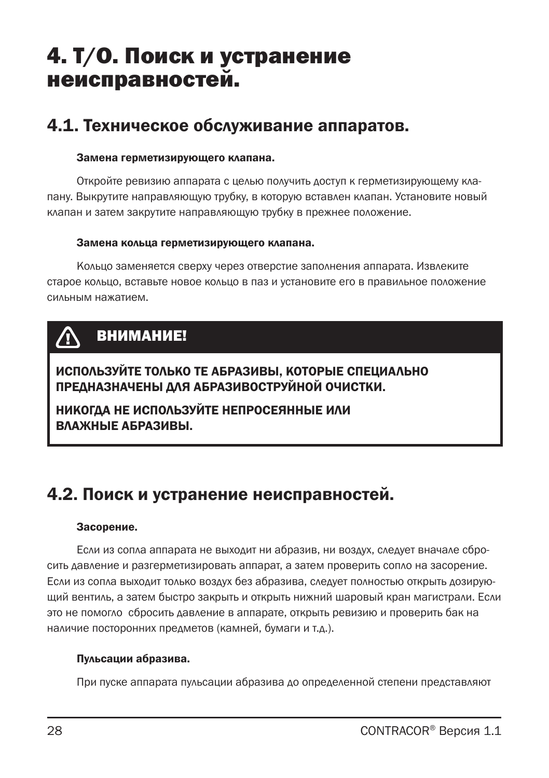## 4. Т/О. Поиск и устранение неисправностей.

### 4.1. Техническое обслуживание аппаратов.

#### Замена герметизирующего клапана.

Откройте ревизию аппарата с целью получить доступ к герметизирующему клапану. Выкрутите направляющую трубку, в которую вставлен клапан. Установите новый клапан и затем закрутите направляющую трубку в прежнее положение.

#### Замена кольца герметизирующего клапана.

Кольцо заменяется сверху через отверстие заполнения аппарата. Извлеките старое кольцо, вставьте новое кольцо в паз и установите его в правильное положение сильным нажатием.

## ВНИМАНИЕ!

ИСПОЛЬЗУЙТЕ ТОЛЬКО ТЕ АБРАЗИВЫ, КОТОРЫЕ СПЕЦИАЛЬНО ПРЕДНАЗНАЧЕНЫ ДЛЯ АБРАЗИВОСТРУЙНОЙ ОЧИСТКИ.

НИКОГДА НЕ ИСПОЛЬЗУЙТЕ НЕПРОСЕЯННЫЕ ИЛИ ВЛАЖНЫЕ АБРАЗИВЫ.

### 4.2. Поиск и устранение неисправностей.

#### Засорение.

Если из сопла аппарата не выходит ни абразив, ни воздух, следует вначале сбросить давление и разгерметизировать аппарат, а затем проверить сопло на засорение. Если из сопла выходит только воздух без абразива, следует полностью открыть дозирующий вентиль, а затем быстро закрыть и открыть нижний шаровый кран магистрали. Если это не помогло сбросить давление в аппарате, открыть ревизию и проверить бак на наличие посторонних предметов (камней, бумаги и т.д.).

#### Пульсации абразива.

При пуске аппарата пульсации абразива до определенной степени представляют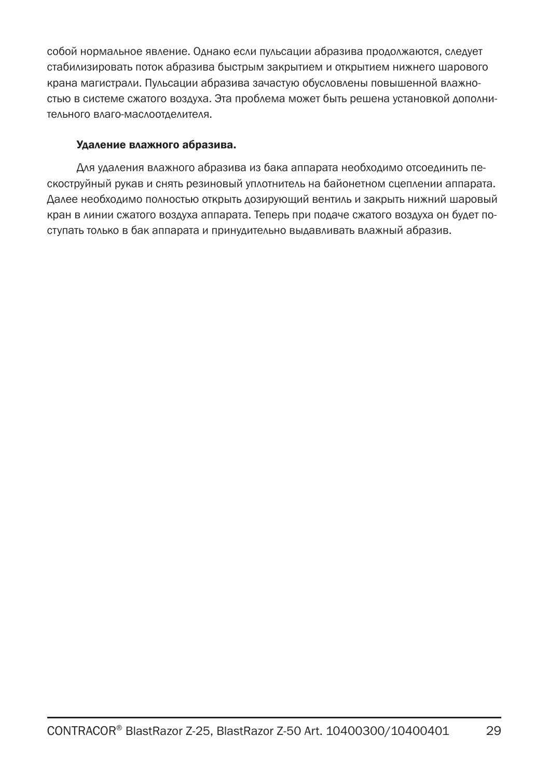собой нормальное явление. Однако если пульсации абразива продолжаются, следует стабилизировать поток абразива быстрым закрытием и открытием нижнего шарового крана магистрали. Пульсации абразива зачастую обусловлены повышенной влажностью в системе сжатого воздуха. Эта проблема может быть решена установкой дополнительного влаго-маслоотделителя.

#### Удаление влажного абразива.

Для удаления влажного абразива из бака аппарата необходимо отсоединить пескоструйный рукав и снять резиновый уплотнитель на байонетном сцеплении аппарата. Далее необходимо полностью открыть дозирующий вентиль и закрыть нижний шаровый кран в линии сжатого воздуха аппарата. Теперь при подаче сжатого воздуха он будет поступать только в бак аппарата и принудительно выдавливать влажный абразив.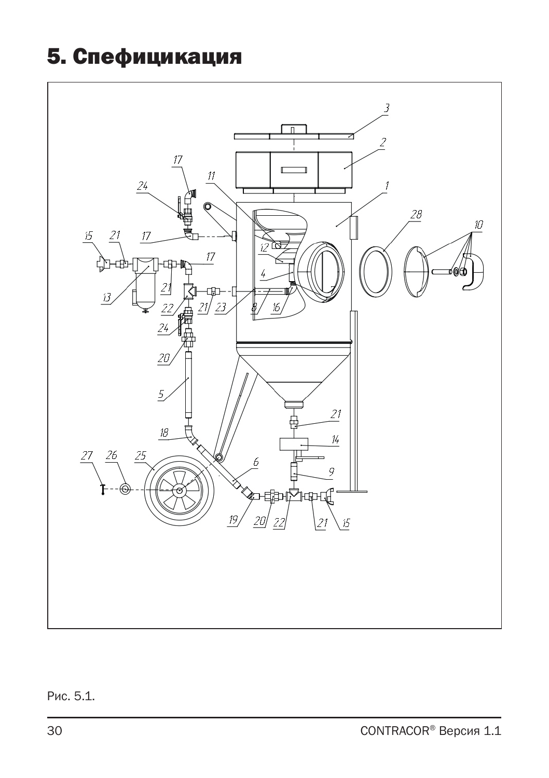## 5. Спефицикация